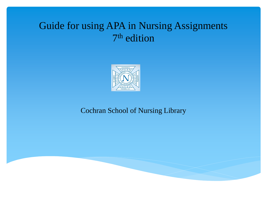# Guide for using APA in Nursing Assignments 7 th edition



### Cochran School of Nursing Library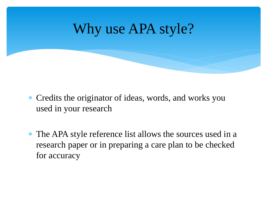

- Credits the originator of ideas, words, and works you used in your research
- \* The APA style reference list allows the sources used in a research paper or in preparing a care plan to be checked for accuracy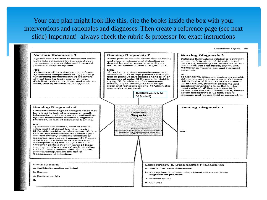Your care plan might look like this, cite the books inside the box with your interventions and rationales and diagnoses. Then create a reference page (see next slide) Important! always check the rubric & professor for exact instructions

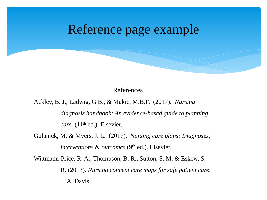# Reference page example

References

Ackley, B. J., Ladwig, G.B., & Makic, M.B.F. (2017). *Nursing* 

*diagnosis handbook: An evidence-based guide to planning care* (11<sup>th</sup> ed.). Elsevier.

Gulanick, M. & Myers, J. L. (2017). *Nursing care plans: Diagnoses, interventions & outcomes* (9<sup>th</sup> ed.). Elsevier.

Wittmann-Price, R. A., Thompson, B. R., Sutton, S. M. & Eskew, S.

R. (2013). *Nursing concept care maps for safe patient care*. F.A. Davis.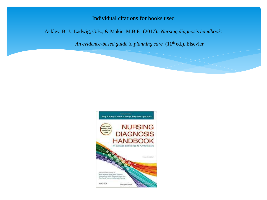Individual citations for books used

Ackley, B. J., Ladwig, G.B., & Makic, M.B.F. (2017). *Nursing diagnosis handbook:* 

*An evidence-based guide to planning care* (11<sup>th</sup> ed.). Elsevier.

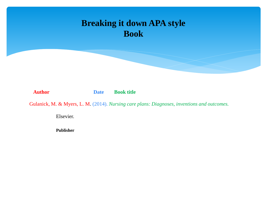

**Author Date Book title** 

Gulanick, M. & Myers, L. M. (2014). *Nursing care plans: Diagnoses, inventions and outcomes.* 

Elsevier.

**Publisher**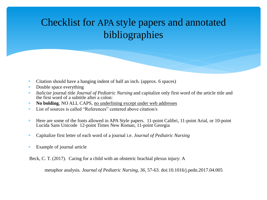# Checklist for APA style papers and annotated bibliographies

- Citation should have a hanging indent of half an inch. (approx. 6 spaces)
- \* Double space everything
- *Italicize* journal title *Journal of Pediatric Nursing* and capitalize only first word of the article title and the first word of a subtitle after a colon:
- **No bolding**, NO ALL CAPS, no underlining except under web addresses
- List of sources is called "References" centered above citation/s
- Here are some of the fonts allowed in APA Style papers. 11-point Calibri, 11-point Arial, or 10-point Lucida Sans Unicode 12-point Times New Roman, 11-point Georgia
- Capitalize first letter of each word of a journal i.e. *Journal of Pediatric Nursing*
- Example of journal article

Beck, C. T. (2017). Caring for a child with an obstetric brachial plexus injury: A

metaphor analysis*. Journal of Pediatric Nursing, 36*, 57-63. doi:10.1016/j.pedn.2017.04.005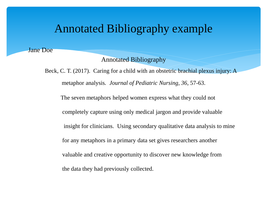### Annotated Bibliography example

Jane Doe

#### Annotated Bibliography

Beck, C. T. (2017). Caring for a child with an obstetric brachial plexus injury: A metaphor analysis*. Journal of Pediatric Nursing, 36*, 57-63. The seven metaphors helped women express what they could not completely capture using only medical jargon and provide valuable insight for clinicians. Using secondary qualitative data analysis to mine for any metaphors in a primary data set gives researchers another valuable and creative opportunity to discover new knowledge from the data they had previously collected.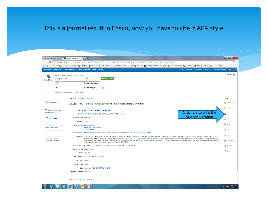### This is a journal result in Ebsco, now you have to cite it APA style

|                                                                                                                                 |                                  | A short guide to annotate X     An Alphabetical Mnemore X                                                                                                                                                                                                                                                                                                                                                                                                                                                                                                                                                                                                                                                                                                                                                                                                                                                                                                                                                                                                                                                                                                                                                                                                                                                                                                                                             | $\frac{1}{2}$ and $\frac{1}{2}$ and $\frac{1}{2}$ and $\frac{1}{2}$                                                                                                                                         |
|---------------------------------------------------------------------------------------------------------------------------------|----------------------------------|-------------------------------------------------------------------------------------------------------------------------------------------------------------------------------------------------------------------------------------------------------------------------------------------------------------------------------------------------------------------------------------------------------------------------------------------------------------------------------------------------------------------------------------------------------------------------------------------------------------------------------------------------------------------------------------------------------------------------------------------------------------------------------------------------------------------------------------------------------------------------------------------------------------------------------------------------------------------------------------------------------------------------------------------------------------------------------------------------------------------------------------------------------------------------------------------------------------------------------------------------------------------------------------------------------------------------------------------------------------------------------------------------------|-------------------------------------------------------------------------------------------------------------------------------------------------------------------------------------------------------------|
| $\Leftarrow$ $\rightarrow$ $\heartsuit$                                                                                         |                                  | O web.a.ebscohost.com/ehost/detail/detail/vid=148sid=f567f8eb-34bf-4d31-abe3-b586dadebf2d%40sessionmqr4009&bdata=JnNpdGU9ZWhvc3QtbGl2ZQ%3d%3d#AN=103765014&db=ccm                                                                                                                                                                                                                                                                                                                                                                                                                                                                                                                                                                                                                                                                                                                                                                                                                                                                                                                                                                                                                                                                                                                                                                                                                                     | ☆<br>÷                                                                                                                                                                                                      |
|                                                                                                                                 |                                  | Apps B Browse Library   R2 D S EBSCO Databases   DOCLINE ® B EBSCONET → Home - PubMed - N( Ma) W8 Mason - Search F > Search F 2 Expo Lightning Bolt S Bethel annotated bit> >> Lisjobnet When to File as Marri @ (34) P                                                                                                                                                                                                                                                                                                                                                                                                                                                                                                                                                                                                                                                                                                                                                                                                                                                                                                                                                                                                                                                                                                                                                                               |                                                                                                                                                                                                             |
|                                                                                                                                 |                                  | New Search Publications CINAHL Headings Evidence-Based Care Sheets More +                                                                                                                                                                                                                                                                                                                                                                                                                                                                                                                                                                                                                                                                                                                                                                                                                                                                                                                                                                                                                                                                                                                                                                                                                                                                                                                             | Help<br>Exit<br>Sign In <b>Constitute System</b> Preferences Languages v Ask Jane Castrignano                                                                                                               |
| <b>EBSCOhost</b>                                                                                                                | nursing care plans<br>$AND -$    | Searching: CINAHL Complete   Choose Databases<br>TI Title<br><b>Search</b><br><b>Clear</b><br>Select a Field (option +                                                                                                                                                                                                                                                                                                                                                                                                                                                                                                                                                                                                                                                                                                                                                                                                                                                                                                                                                                                                                                                                                                                                                                                                                                                                                | <b>Library Logo</b>                                                                                                                                                                                         |
|                                                                                                                                 | $AND -$                          | Select a Field (option ▼<br>$^{(+)}$                                                                                                                                                                                                                                                                                                                                                                                                                                                                                                                                                                                                                                                                                                                                                                                                                                                                                                                                                                                                                                                                                                                                                                                                                                                                                                                                                                  |                                                                                                                                                                                                             |
|                                                                                                                                 |                                  | Basic Search Advanced Search Search History                                                                                                                                                                                                                                                                                                                                                                                                                                                                                                                                                                                                                                                                                                                                                                                                                                                                                                                                                                                                                                                                                                                                                                                                                                                                                                                                                           |                                                                                                                                                                                                             |
|                                                                                                                                 |                                  |                                                                                                                                                                                                                                                                                                                                                                                                                                                                                                                                                                                                                                                                                                                                                                                                                                                                                                                                                                                                                                                                                                                                                                                                                                                                                                                                                                                                       |                                                                                                                                                                                                             |
|                                                                                                                                 |                                  | « Result List   Refine Search → 7 of 26 +                                                                                                                                                                                                                                                                                                                                                                                                                                                                                                                                                                                                                                                                                                                                                                                                                                                                                                                                                                                                                                                                                                                                                                                                                                                                                                                                                             | <b>Tools</b>                                                                                                                                                                                                |
|                                                                                                                                 | <b>Detailed Record</b>           | An Alphabetical Mnemonic Teaching Strategy for Constructing Nursing Care Plans.                                                                                                                                                                                                                                                                                                                                                                                                                                                                                                                                                                                                                                                                                                                                                                                                                                                                                                                                                                                                                                                                                                                                                                                                                                                                                                                       | Google Drive                                                                                                                                                                                                |
| interlibrary loan<br>* PlumX Metrics<br><b>Related Information</b><br><b>Find Similar Results</b><br>using SmartText Searching. | $\Box$ Request this item through | Authors: Hussein, Mohamed Toufic El; Jakubec, Sonya L.<br>Source: Journal of Nursing Education (J NURS EDUC), Jan2015; 54(1): 57-59. (3p)<br>Publication Type: Journal Article<br>Language: English<br>Major Subjects: Teaching Methods<br>Nursing Care Plans -- Education<br><b>Education, Nursing</b><br>Minor Subjects: Teaching Materials; Lecture; Audiovisuals; Intracranial Hypertension -- Nursing; Learning Methods; Head Injuries -- Nursing<br>Abstract: The strategy of mnemonics has long been used as an aid to learning biology, physiology, pathophysiology, and health assessment in nursing. An application of an alphabetical mnemonics strategy to teaching and lear<br>constructing care plans has been explored for patients with increased intracranial pressure (ICP), hepatic failure, and chronic renal failure. A specific application of this strategy for teaching care planning for patients<br>feedback appears to be positive, and reviews of the teaching -- learning experience have received approval in students' evaluation of instruction. The mnemonics strategy presented has the potential for applicability and tr<br>nursing care planning and other course contexts. [J Nurs Educ. 2015;54(1):57-59.]<br>Journal Subset: Core Nursing; Editorial Board Reviewed; Expert Peer Reviewed; Nursing; Peer Reviewed; USA<br>Special Interest: Nursing Education | Add to folder<br>Click here to print the<br><b>B</b> Print<br><b>APA style citation</b><br>E-mail<br><b>B</b> Save<br><b>E</b> Cite<br><b>Export</b><br><b>O</b> Create Note<br>$\theta$ Permalink<br>Share |
|                                                                                                                                 |                                  | ISSN: 0148-4834<br>MEDLINE Info: PMID: 25535758 NLM UID: 7705432<br>Entry Date: 20150414<br>Revision Date: 20170918<br>DOI: http://dx.doi.org/10.3928/01484834-20141224-03<br>Accession Number: 103765014                                                                                                                                                                                                                                                                                                                                                                                                                                                                                                                                                                                                                                                                                                                                                                                                                                                                                                                                                                                                                                                                                                                                                                                             |                                                                                                                                                                                                             |
|                                                                                                                                 |                                  | « Result List Refine Search → 7 of 26 +                                                                                                                                                                                                                                                                                                                                                                                                                                                                                                                                                                                                                                                                                                                                                                                                                                                                                                                                                                                                                                                                                                                                                                                                                                                                                                                                                               |                                                                                                                                                                                                             |

 $\leftarrow$  (143 PM

 $\mathbb{P}_2$ 

 $\phi$  |  $\phi$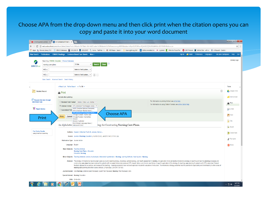#### Choose APA from the drop-down menu and then click print when the citation opens you can copy and paste it into your word document

|                                                           | Apps Rp Browse Library   R2 D ESCO Databases D DOCLINE O B EBSCONET & Home - PubMed - NC May WB Mason - Search R 2% Expolughtning Bolt B Bethel annotated bib >> Lisjobnet When to File as Marri @ [34] Pinterest ★ Salf                                                                                                                                                                                                                                                                                                                                                                                                                                                                                                                                                                |                      |  |  |
|-----------------------------------------------------------|-----------------------------------------------------------------------------------------------------------------------------------------------------------------------------------------------------------------------------------------------------------------------------------------------------------------------------------------------------------------------------------------------------------------------------------------------------------------------------------------------------------------------------------------------------------------------------------------------------------------------------------------------------------------------------------------------------------------------------------------------------------------------------------------|----------------------|--|--|
|                                                           | Sign In <b>C</b> Folder Preferences Languages T Ask Jane Castrignano Help Exit<br>New Search Publications CINAHL Headings Evidence-Based Care Sheets More .                                                                                                                                                                                                                                                                                                                                                                                                                                                                                                                                                                                                                             |                      |  |  |
| nursing care plans<br><b>EBSCOhost</b><br>$AND -$         | Searching: CINAHL Complete   Choose Databases<br>Clear $\sqrt{3}$<br>Search<br>TI Title<br>Select a Field (option -                                                                                                                                                                                                                                                                                                                                                                                                                                                                                                                                                                                                                                                                     | <b>Library Logo</b>  |  |  |
| $AND -$                                                   | Select a Field (option ▼<br>$^{(+)}$                                                                                                                                                                                                                                                                                                                                                                                                                                                                                                                                                                                                                                                                                                                                                    |                      |  |  |
|                                                           | Basic Search Advanced Search Search History                                                                                                                                                                                                                                                                                                                                                                                                                                                                                                                                                                                                                                                                                                                                             |                      |  |  |
|                                                           |                                                                                                                                                                                                                                                                                                                                                                                                                                                                                                                                                                                                                                                                                                                                                                                         |                      |  |  |
|                                                           | « Result List Refine Search (+ 7 of 26 +                                                                                                                                                                                                                                                                                                                                                                                                                                                                                                                                                                                                                                                                                                                                                | <b>Tools</b>         |  |  |
| <b>Detailed Record</b>                                    | $\mathbb{E}$<br><b>A</b> Print                                                                                                                                                                                                                                                                                                                                                                                                                                                                                                                                                                                                                                                                                                                                                          | Google Drive         |  |  |
|                                                           | Include when printing:                                                                                                                                                                                                                                                                                                                                                                                                                                                                                                                                                                                                                                                                                                                                                                  | Add to folder        |  |  |
| Request this item through<br>interlibrary loan            | For information on printing full text, see online help.<br>○ Standard Field Format Detailed Citation and Abstract ▼                                                                                                                                                                                                                                                                                                                                                                                                                                                                                                                                                                                                                                                                     | <b>Print</b>         |  |  |
| PlumX Metrics                                             | For information on using Citation Formats, see online citation help<br>© Citation Format   APA (American Psychological Assoc.) v<br>ABNT (Brazilian National Standards)                                                                                                                                                                                                                                                                                                                                                                                                                                                                                                                                                                                                                 | S E-mail             |  |  |
|                                                           | C Customized Field AMA (American Medical Assoc.)<br>APA (American Psychological Assoc.)<br><b>Choose APA</b>                                                                                                                                                                                                                                                                                                                                                                                                                                                                                                                                                                                                                                                                            |                      |  |  |
| Print                                                     | Chicago/Turabian: Author-Date<br><b>Print</b><br><b>Cancel</b> Chicago/Turabian: Humanities<br>Harvard                                                                                                                                                                                                                                                                                                                                                                                                                                                                                                                                                                                                                                                                                  | $\mathbb{H}$ Save    |  |  |
|                                                           | Harvard: Australian<br>MLA (Modern Language Assoc.)                                                                                                                                                                                                                                                                                                                                                                                                                                                                                                                                                                                                                                                                                                                                     | Gite                 |  |  |
|                                                           | tegy for Constructing Nursing Care Plans.<br>An Alphabetic Vancouver/ICMJE                                                                                                                                                                                                                                                                                                                                                                                                                                                                                                                                                                                                                                                                                                              | Export               |  |  |
| <b>Find Similar Results</b><br>using SmartText Searching. | Authors: Hussein, Mohamed Toufic El; Jakubec, Sonya L.                                                                                                                                                                                                                                                                                                                                                                                                                                                                                                                                                                                                                                                                                                                                  | <b>O</b> Create Note |  |  |
|                                                           | Source: Journal of Nursing Education (J NURS EDUC), Jan2015; 54(1): 57-59. (3p)                                                                                                                                                                                                                                                                                                                                                                                                                                                                                                                                                                                                                                                                                                         |                      |  |  |
|                                                           | Publication Type: Journal Article                                                                                                                                                                                                                                                                                                                                                                                                                                                                                                                                                                                                                                                                                                                                                       | $\theta$ Permalink   |  |  |
|                                                           | Language: English                                                                                                                                                                                                                                                                                                                                                                                                                                                                                                                                                                                                                                                                                                                                                                       | Share                |  |  |
|                                                           | Major Subjects: Teaching Methods<br>Nursing Care Plans -- Education<br><b>Education, Nursing</b>                                                                                                                                                                                                                                                                                                                                                                                                                                                                                                                                                                                                                                                                                        |                      |  |  |
|                                                           | Minor Subjects: Teaching Materials; Lecture; Audiovisuals; Intracranial Hypertension -- Nursing; Learning Methods; Head Injuries -- Nursing                                                                                                                                                                                                                                                                                                                                                                                                                                                                                                                                                                                                                                             |                      |  |  |
|                                                           | Abstract: The strategy of mnemonics has long been used as an aid to learning biology, physiology, pathophysiology, and health assessment in nursing. An application of an alphabetical mnemonics strategy to teaching and lear<br>constructing care plans has been explored for patients with increased intracranial pressure (ICP), hepatic failure, and chronic renal failure. A specific application of this strategy for teaching care planning for patients<br>feedback appears to be positive, and reviews of the teaching -- learning experience have received approval in students' evaluation of instruction. The mnemonics strategy presented has the potential for applicability and tr<br>nursing care planning and other course contexts. [J Nurs Educ. 2015;54(1):57-59.] |                      |  |  |
|                                                           | Journal Subset: Core Nursing; Editorial Board Reviewed; Expert Peer Reviewed; Nursing; Peer Reviewed; USA                                                                                                                                                                                                                                                                                                                                                                                                                                                                                                                                                                                                                                                                               |                      |  |  |
|                                                           | Special Interest: Nursing Education                                                                                                                                                                                                                                                                                                                                                                                                                                                                                                                                                                                                                                                                                                                                                     |                      |  |  |
|                                                           | ISSN: 0148-4834                                                                                                                                                                                                                                                                                                                                                                                                                                                                                                                                                                                                                                                                                                                                                                         |                      |  |  |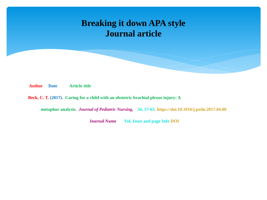### **Breaking it down APA style Journal article**

**Author Date Article title** 

**Beck, C. T. (2017). Caring for a child with an obstetric brachial plexus injury: A**

**metaphor analysis***. Journal of Pediatric Nursing, 36***, 57-63. https://doi.10.1016/j.pedn.2017.04.00**

**Journal Name** Vol, Issue and page Info DOI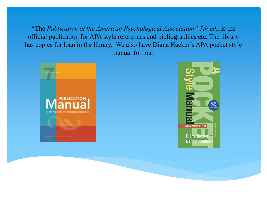"The *Publication of the American Psychological Association" 7th ed.,* is the official publication for APA style references and bibliographies etc. The library has copies for loan in the library. We also have Diana Hacker's APA pocket style manual for loan